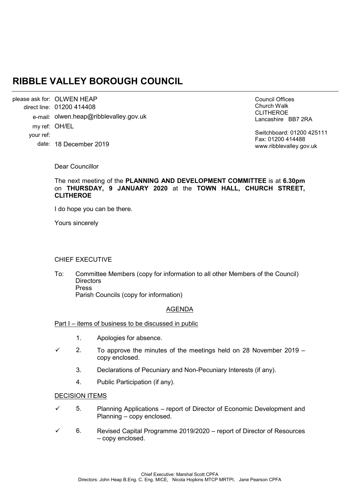# **RIBBLE VALLEY BOROUGH COUNCIL**

please ask for: OLWEN HEAP 01200 414408 direct line: e-mail: olwen.heap@ribblevalley.gov.uk my ref: OH/EL date: 18 December 2019 your ref:

Council Offices Church Walk CLITHEROE Lancashire BB7 2RA

Switchboard: 01200 425111 Fax: 01200 414488 www.ribblevalley.gov.uk

Dear Councillor

The next meeting of the **PLANNING AND DEVELOPMENT COMMITTEE** is at **6.30pm**  on **THURSDAY, 9 JANUARY 2020** at the **TOWN HALL, CHURCH STREET, CLITHEROE**

I do hope you can be there.

Yours sincerely

## CHIEF EXECUTIVE

To: Committee Members (copy for information to all other Members of the Council) **Directors** Press Parish Councils (copy for information)

## AGENDA

## Part I – items of business to be discussed in public

- 1. Apologies for absence.
- $\checkmark$  2. To approve the minutes of the meetings held on 28 November 2019 copy enclosed.
	- 3. Declarations of Pecuniary and Non-Pecuniary Interests (if any).
	- 4. Public Participation (if any).

#### DECISION ITEMS

- $\checkmark$  5. Planning Applications report of Director of Economic Development and Planning – copy enclosed.
- $6.$  Revised Capital Programme 2019/2020 report of Director of Resources – copy enclosed.